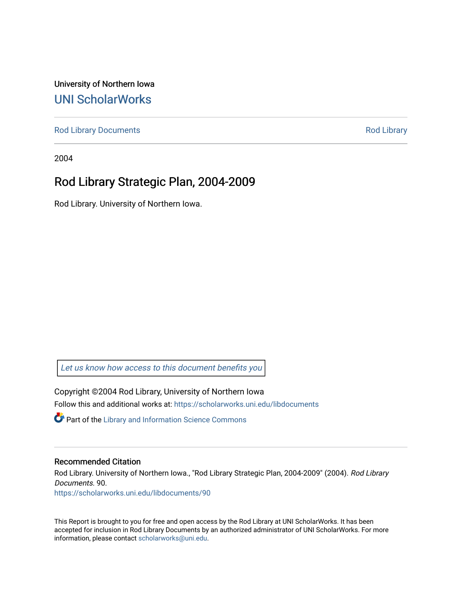University of Northern Iowa [UNI ScholarWorks](https://scholarworks.uni.edu/) 

[Rod Library Documents](https://scholarworks.uni.edu/libdocuments) **[Rod Library](https://scholarworks.uni.edu/lib) Rod Library** 

2004

# Rod Library Strategic Plan, 2004-2009

Rod Library. University of Northern Iowa.

[Let us know how access to this document benefits you](https://scholarworks.uni.edu/feedback_form.html) 

Copyright ©2004 Rod Library, University of Northern Iowa Follow this and additional works at: [https://scholarworks.uni.edu/libdocuments](https://scholarworks.uni.edu/libdocuments?utm_source=scholarworks.uni.edu%2Flibdocuments%2F90&utm_medium=PDF&utm_campaign=PDFCoverPages) 

**Part of the Library and Information Science Commons** 

#### Recommended Citation

Rod Library. University of Northern Iowa., "Rod Library Strategic Plan, 2004-2009" (2004). Rod Library Documents. 90. [https://scholarworks.uni.edu/libdocuments/90](https://scholarworks.uni.edu/libdocuments/90?utm_source=scholarworks.uni.edu%2Flibdocuments%2F90&utm_medium=PDF&utm_campaign=PDFCoverPages)

This Report is brought to you for free and open access by the Rod Library at UNI ScholarWorks. It has been accepted for inclusion in Rod Library Documents by an authorized administrator of UNI ScholarWorks. For more information, please contact [scholarworks@uni.edu.](mailto:scholarworks@uni.edu)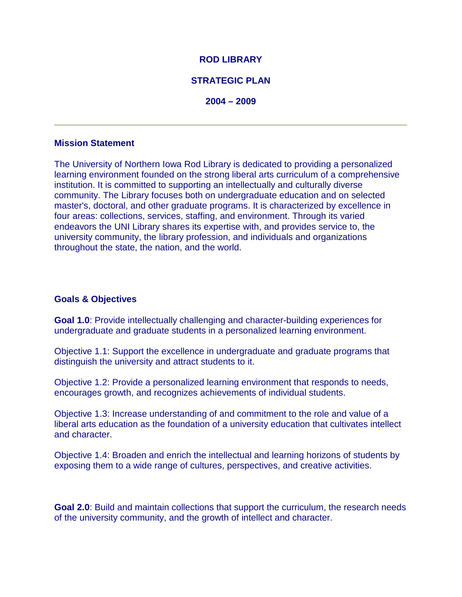## **ROD LIBRARY**

## **STRATEGIC PLAN**

**2004 – 2009** 

### **Mission Statement**

The University of Northern Iowa Rod Library is dedicated to providing a personalized learning environment founded on the strong liberal arts curriculum of a comprehensive institution. It is committed to supporting an intellectually and culturally diverse community. The Library focuses both on undergraduate education and on selected master's, doctoral, and other graduate programs. It is characterized by excellence in four areas: collections, services, staffing, and environment. Through its varied endeavors the UNI Library shares its expertise with, and provides service to, the university community, the library profession, and individuals and organizations throughout the state, the nation, and the world.

## **Goals & Objectives**

**Goal 1.0**: Provide intellectually challenging and character-building experiences for undergraduate and graduate students in a personalized learning environment.

Objective 1.1: Support the excellence in undergraduate and graduate programs that distinguish the university and attract students to it.

Objective 1.2: Provide a personalized learning environment that responds to needs, encourages growth, and recognizes achievements of individual students.

Objective 1.3: Increase understanding of and commitment to the role and value of a liberal arts education as the foundation of a university education that cultivates intellect and character.

Objective 1.4: Broaden and enrich the intellectual and learning horizons of students by exposing them to a wide range of cultures, perspectives, and creative activities.

**Goal 2.0**: Build and maintain collections that support the curriculum, the research needs of the university community, and the growth of intellect and character.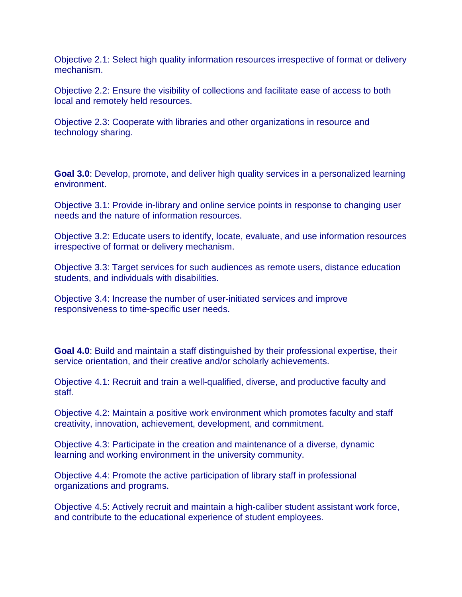Objective 2.1: Select high quality information resources irrespective of format or delivery mechanism.

Objective 2.2: Ensure the visibility of collections and facilitate ease of access to both local and remotely held resources.

Objective 2.3: Cooperate with libraries and other organizations in resource and technology sharing.

**Goal 3.0**: Develop, promote, and deliver high quality services in a personalized learning environment.

Objective 3.1: Provide in-library and online service points in response to changing user needs and the nature of information resources.

Objective 3.2: Educate users to identify, locate, evaluate, and use information resources irrespective of format or delivery mechanism.

Objective 3.3: Target services for such audiences as remote users, distance education students, and individuals with disabilities.

Objective 3.4: Increase the number of user-initiated services and improve responsiveness to time-specific user needs.

**Goal 4.0**: Build and maintain a staff distinguished by their professional expertise, their service orientation, and their creative and/or scholarly achievements.

Objective 4.1: Recruit and train a well-qualified, diverse, and productive faculty and staff.

Objective 4.2: Maintain a positive work environment which promotes faculty and staff creativity, innovation, achievement, development, and commitment.

Objective 4.3: Participate in the creation and maintenance of a diverse, dynamic learning and working environment in the university community.

Objective 4.4: Promote the active participation of library staff in professional organizations and programs.

Objective 4.5: Actively recruit and maintain a high-caliber student assistant work force, and contribute to the educational experience of student employees.